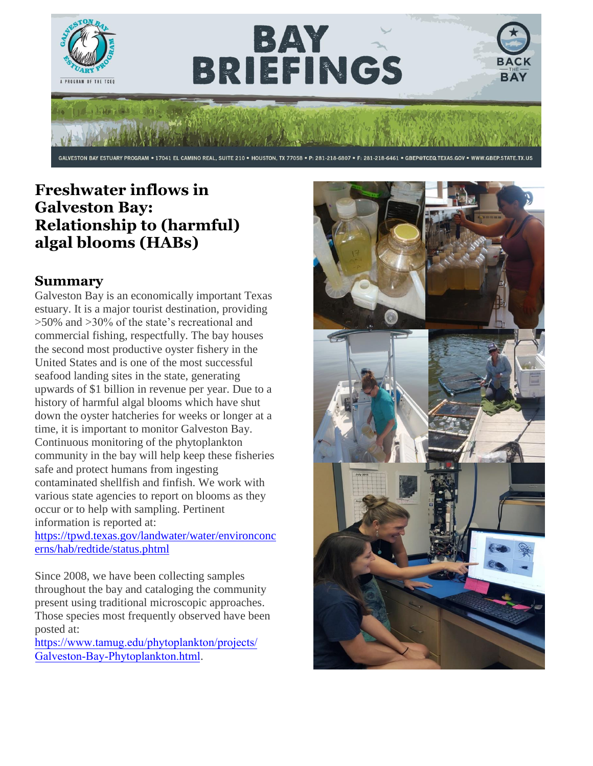

GALVESTON BAY ESTUARY PROGRAM . 17041 EL CAMINO REAL, SUITE 210 . HOUSTON, TX 77058 . P: 281-218-6807 . F: 281-218-6461 . GBEP@TCEQ.TEXAS.GOV . WWW.GBEP.STATE.TX.US

# **Freshwater inflows in Galveston Bay: Relationship to (harmful) algal blooms (HABs)**

## **Summary**

Galveston Bay is an economically important Texas estuary. It is a major tourist destination, providing >50% and >30% of the state's recreational and commercial fishing, respectfully. The bay houses the second most productive oyster fishery in the United States and is one of the most successful seafood landing sites in the state, generating upwards of \$1 billion in revenue per year. Due to a history of harmful algal blooms which have shut down the oyster hatcheries for weeks or longer at a time, it is important to monitor Galveston Bay. Continuous monitoring of the phytoplankton community in the bay will help keep these fisheries safe and protect humans from ingesting contaminated shellfish and finfish. We work with various state agencies to report on blooms as they occur or to help with sampling. Pertinent information is reported at:

[https://tpwd.texas.gov/landwater/water/environconc](https://tpwd.texas.gov/landwater/water/environconcerns/hab/redtide/status.phtml) [erns/hab/redtide/status.phtml](https://tpwd.texas.gov/landwater/water/environconcerns/hab/redtide/status.phtml)

Since 2008, we have been collecting samples throughout the bay and cataloging the community present using traditional microscopic approaches. Those species most frequently observed have been posted at:

http[s://www.tamug.edu/phytoplankton/projects/](https://www.tamug.edu/phytoplankton/images/Bay-Briefing-March-2017-HABs.pdf) [Galveston-Bay-Phytoplankton.h](http://www.tamug.edu/phytoplankton/Research/Galveston%20Bay%20Phytoplankton.html)tml.